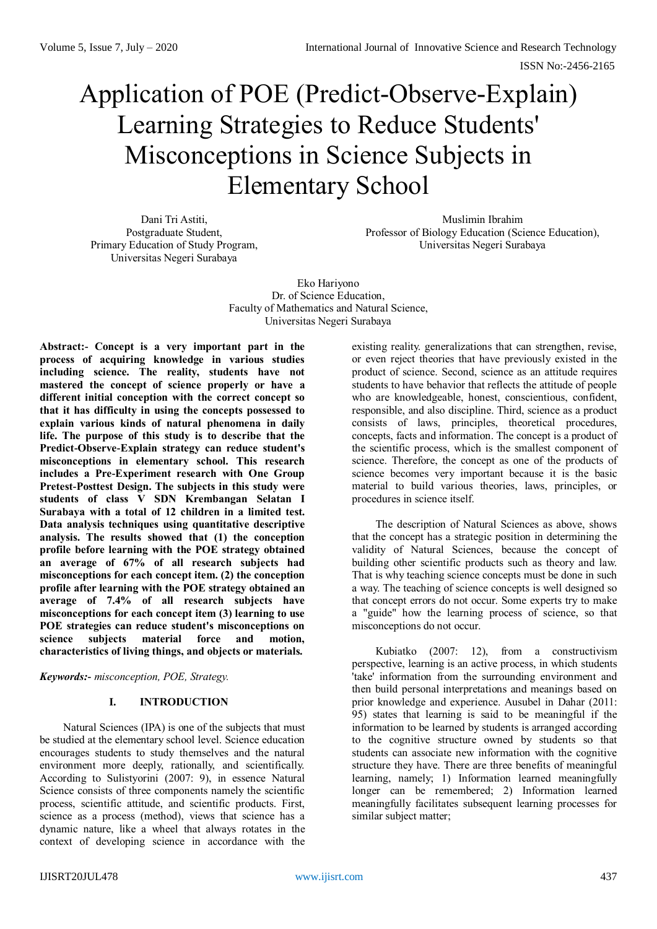# Application of POE (Predict-Observe-Explain) Learning Strategies to Reduce Students' Misconceptions in Science Subjects in Elementary School

Dani Tri Astiti, Postgraduate Student, Primary Education of Study Program, Universitas Negeri Surabaya

Muslimin Ibrahim Professor of Biology Education (Science Education), Universitas Negeri Surabaya

Eko Hariyono Dr. of Science Education, Faculty of Mathematics and Natural Science, Universitas Negeri Surabaya

**Abstract:- Concept is a very important part in the process of acquiring knowledge in various studies including science. The reality, students have not mastered the concept of science properly or have a different initial conception with the correct concept so that it has difficulty in using the concepts possessed to explain various kinds of natural phenomena in daily life. The purpose of this study is to describe that the Predict-Observe-Explain strategy can reduce student's misconceptions in elementary school. This research includes a Pre-Experiment research with One Group Pretest-Posttest Design. The subjects in this study were students of class V SDN Krembangan Selatan I Surabaya with a total of 12 children in a limited test. Data analysis techniques using quantitative descriptive analysis. The results showed that (1) the conception profile before learning with the POE strategy obtained an average of 67% of all research subjects had misconceptions for each concept item. (2) the conception profile after learning with the POE strategy obtained an average of 7.4% of all research subjects have misconceptions for each concept item (3) learning to use POE strategies can reduce student's misconceptions on science subjects material force and motion, characteristics of living things, and objects or materials.**

*Keywords:- misconception, POE, Strategy.*

#### **I. INTRODUCTION**

Natural Sciences (IPA) is one of the subjects that must be studied at the elementary school level. Science education encourages students to study themselves and the natural environment more deeply, rationally, and scientifically. According to Sulistyorini (2007: 9), in essence Natural Science consists of three components namely the scientific process, scientific attitude, and scientific products. First, science as a process (method), views that science has a dynamic nature, like a wheel that always rotates in the context of developing science in accordance with the

existing reality. generalizations that can strengthen, revise, or even reject theories that have previously existed in the product of science. Second, science as an attitude requires students to have behavior that reflects the attitude of people who are knowledgeable, honest, conscientious, confident, responsible, and also discipline. Third, science as a product consists of laws, principles, theoretical procedures, concepts, facts and information. The concept is a product of the scientific process, which is the smallest component of science. Therefore, the concept as one of the products of science becomes very important because it is the basic material to build various theories, laws, principles, or procedures in science itself.

The description of Natural Sciences as above, shows that the concept has a strategic position in determining the validity of Natural Sciences, because the concept of building other scientific products such as theory and law. That is why teaching science concepts must be done in such a way. The teaching of science concepts is well designed so that concept errors do not occur. Some experts try to make a "guide" how the learning process of science, so that misconceptions do not occur.

Kubiatko (2007: 12), from a constructivism perspective, learning is an active process, in which students 'take' information from the surrounding environment and then build personal interpretations and meanings based on prior knowledge and experience. Ausubel in Dahar (2011: 95) states that learning is said to be meaningful if the information to be learned by students is arranged according to the cognitive structure owned by students so that students can associate new information with the cognitive structure they have. There are three benefits of meaningful learning, namely; 1) Information learned meaningfully longer can be remembered; 2) Information learned meaningfully facilitates subsequent learning processes for similar subject matter;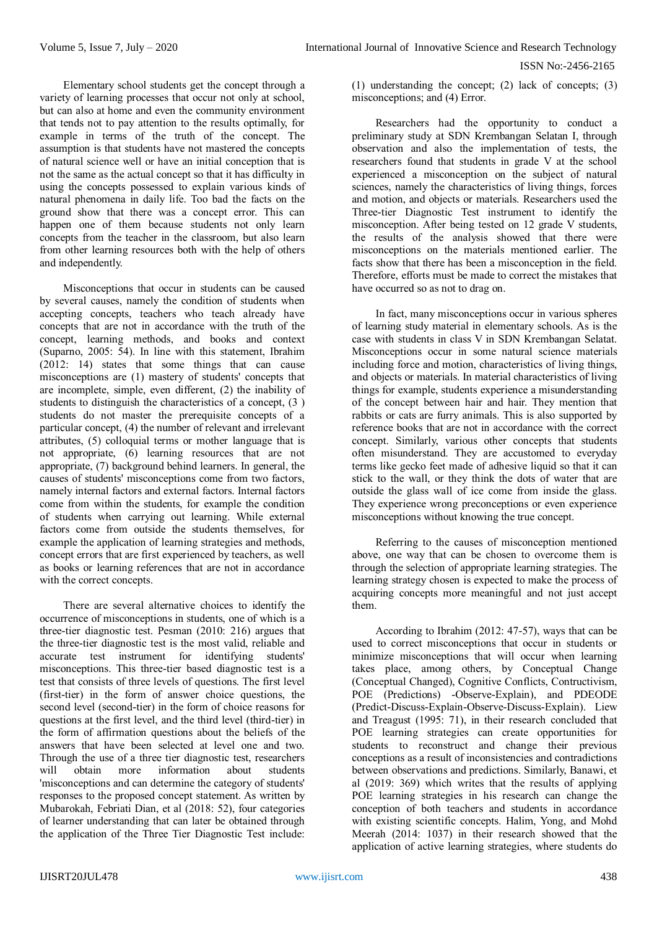Elementary school students get the concept through a variety of learning processes that occur not only at school, but can also at home and even the community environment that tends not to pay attention to the results optimally, for example in terms of the truth of the concept. The assumption is that students have not mastered the concepts of natural science well or have an initial conception that is not the same as the actual concept so that it has difficulty in using the concepts possessed to explain various kinds of natural phenomena in daily life. Too bad the facts on the ground show that there was a concept error. This can happen one of them because students not only learn concepts from the teacher in the classroom, but also learn from other learning resources both with the help of others and independently.

Misconceptions that occur in students can be caused by several causes, namely the condition of students when accepting concepts, teachers who teach already have concepts that are not in accordance with the truth of the concept, learning methods, and books and context (Suparno, 2005: 54). In line with this statement, Ibrahim (2012: 14) states that some things that can cause misconceptions are (1) mastery of students' concepts that are incomplete, simple, even different, (2) the inability of students to distinguish the characteristics of a concept, (3 ) students do not master the prerequisite concepts of a particular concept, (4) the number of relevant and irrelevant attributes, (5) colloquial terms or mother language that is not appropriate, (6) learning resources that are not appropriate, (7) background behind learners. In general, the causes of students' misconceptions come from two factors, namely internal factors and external factors. Internal factors come from within the students, for example the condition of students when carrying out learning. While external factors come from outside the students themselves, for example the application of learning strategies and methods, concept errors that are first experienced by teachers, as well as books or learning references that are not in accordance with the correct concepts.

There are several alternative choices to identify the occurrence of misconceptions in students, one of which is a three-tier diagnostic test. Pesman (2010: 216) argues that the three-tier diagnostic test is the most valid, reliable and accurate test instrument for identifying students' misconceptions. This three-tier based diagnostic test is a test that consists of three levels of questions. The first level (first-tier) in the form of answer choice questions, the second level (second-tier) in the form of choice reasons for questions at the first level, and the third level (third-tier) in the form of affirmation questions about the beliefs of the answers that have been selected at level one and two. Through the use of a three tier diagnostic test, researchers will obtain more information about students 'misconceptions and can determine the category of students' responses to the proposed concept statement. As written by Mubarokah, Febriati Dian, et al (2018: 52), four categories of learner understanding that can later be obtained through the application of the Three Tier Diagnostic Test include:

(1) understanding the concept; (2) lack of concepts; (3) misconceptions; and (4) Error.

Researchers had the opportunity to conduct a preliminary study at SDN Krembangan Selatan I, through observation and also the implementation of tests, the researchers found that students in grade V at the school experienced a misconception on the subject of natural sciences, namely the characteristics of living things, forces and motion, and objects or materials. Researchers used the Three-tier Diagnostic Test instrument to identify the misconception. After being tested on 12 grade V students, the results of the analysis showed that there were misconceptions on the materials mentioned earlier. The facts show that there has been a misconception in the field. Therefore, efforts must be made to correct the mistakes that have occurred so as not to drag on.

In fact, many misconceptions occur in various spheres of learning study material in elementary schools. As is the case with students in class V in SDN Krembangan Selatat. Misconceptions occur in some natural science materials including force and motion, characteristics of living things, and objects or materials. In material characteristics of living things for example, students experience a misunderstanding of the concept between hair and hair. They mention that rabbits or cats are furry animals. This is also supported by reference books that are not in accordance with the correct concept. Similarly, various other concepts that students often misunderstand. They are accustomed to everyday terms like gecko feet made of adhesive liquid so that it can stick to the wall, or they think the dots of water that are outside the glass wall of ice come from inside the glass. They experience wrong preconceptions or even experience misconceptions without knowing the true concept.

Referring to the causes of misconception mentioned above, one way that can be chosen to overcome them is through the selection of appropriate learning strategies. The learning strategy chosen is expected to make the process of acquiring concepts more meaningful and not just accept them.

According to Ibrahim (2012: 47-57), ways that can be used to correct misconceptions that occur in students or minimize misconceptions that will occur when learning takes place, among others, by Conceptual Change (Conceptual Changed), Cognitive Conflicts, Contructivism, POE (Predictions) -Observe-Explain), and PDEODE (Predict-Discuss-Explain-Observe-Discuss-Explain). Liew and Treagust (1995: 71), in their research concluded that POE learning strategies can create opportunities for students to reconstruct and change their previous conceptions as a result of inconsistencies and contradictions between observations and predictions. Similarly, Banawi, et al (2019: 369) which writes that the results of applying POE learning strategies in his research can change the conception of both teachers and students in accordance with existing scientific concepts. Halim, Yong, and Mohd Meerah (2014: 1037) in their research showed that the application of active learning strategies, where students do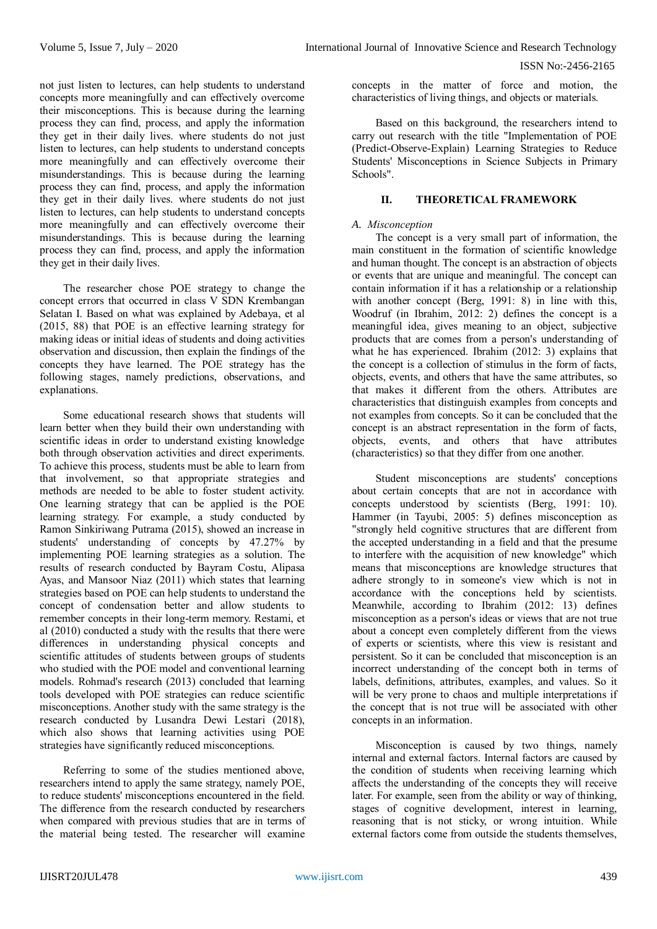not just listen to lectures, can help students to understand concepts more meaningfully and can effectively overcome their misconceptions. This is because during the learning process they can find, process, and apply the information they get in their daily lives. where students do not just listen to lectures, can help students to understand concepts more meaningfully and can effectively overcome their misunderstandings. This is because during the learning process they can find, process, and apply the information they get in their daily lives. where students do not just listen to lectures, can help students to understand concepts more meaningfully and can effectively overcome their misunderstandings. This is because during the learning process they can find, process, and apply the information they get in their daily lives.

The researcher chose POE strategy to change the concept errors that occurred in class V SDN Krembangan Selatan I. Based on what was explained by Adebaya, et al (2015, 88) that POE is an effective learning strategy for making ideas or initial ideas of students and doing activities observation and discussion, then explain the findings of the concepts they have learned. The POE strategy has the following stages, namely predictions, observations, and explanations.

Some educational research shows that students will learn better when they build their own understanding with scientific ideas in order to understand existing knowledge both through observation activities and direct experiments. To achieve this process, students must be able to learn from that involvement, so that appropriate strategies and methods are needed to be able to foster student activity. One learning strategy that can be applied is the POE learning strategy. For example, a study conducted by Ramon Sinkiriwang Putrama (2015), showed an increase in students' understanding of concepts by 47.27% by implementing POE learning strategies as a solution. The results of research conducted by Bayram Costu, Alipasa Ayas, and Mansoor Niaz (2011) which states that learning strategies based on POE can help students to understand the concept of condensation better and allow students to remember concepts in their long-term memory. Restami, et al (2010) conducted a study with the results that there were differences in understanding physical concepts and scientific attitudes of students between groups of students who studied with the POE model and conventional learning models. Rohmad's research (2013) concluded that learning tools developed with POE strategies can reduce scientific misconceptions. Another study with the same strategy is the research conducted by Lusandra Dewi Lestari (2018), which also shows that learning activities using POE strategies have significantly reduced misconceptions.

Referring to some of the studies mentioned above, researchers intend to apply the same strategy, namely POE, to reduce students' misconceptions encountered in the field. The difference from the research conducted by researchers when compared with previous studies that are in terms of the material being tested. The researcher will examine

concepts in the matter of force and motion, the characteristics of living things, and objects or materials.

Based on this background, the researchers intend to carry out research with the title "Implementation of POE (Predict-Observe-Explain) Learning Strategies to Reduce Students' Misconceptions in Science Subjects in Primary Schools".

# **II. THEORETICAL FRAMEWORK**

# *A. Misconception*

The concept is a very small part of information, the main constituent in the formation of scientific knowledge and human thought. The concept is an abstraction of objects or events that are unique and meaningful. The concept can contain information if it has a relationship or a relationship with another concept (Berg, 1991: 8) in line with this, Woodruf (in Ibrahim, 2012: 2) defines the concept is a meaningful idea, gives meaning to an object, subjective products that are comes from a person's understanding of what he has experienced. Ibrahim (2012: 3) explains that the concept is a collection of stimulus in the form of facts, objects, events, and others that have the same attributes, so that makes it different from the others. Attributes are characteristics that distinguish examples from concepts and not examples from concepts. So it can be concluded that the concept is an abstract representation in the form of facts, objects, events, and others that have attributes (characteristics) so that they differ from one another.

Student misconceptions are students' conceptions about certain concepts that are not in accordance with concepts understood by scientists (Berg, 1991: 10). Hammer (in Tayubi, 2005: 5) defines misconception as "strongly held cognitive structures that are different from the accepted understanding in a field and that the presume to interfere with the acquisition of new knowledge" which means that misconceptions are knowledge structures that adhere strongly to in someone's view which is not in accordance with the conceptions held by scientists. Meanwhile, according to Ibrahim (2012: 13) defines misconception as a person's ideas or views that are not true about a concept even completely different from the views of experts or scientists, where this view is resistant and persistent. So it can be concluded that misconception is an incorrect understanding of the concept both in terms of labels, definitions, attributes, examples, and values. So it will be very prone to chaos and multiple interpretations if the concept that is not true will be associated with other concepts in an information.

Misconception is caused by two things, namely internal and external factors. Internal factors are caused by the condition of students when receiving learning which affects the understanding of the concepts they will receive later. For example, seen from the ability or way of thinking, stages of cognitive development, interest in learning, reasoning that is not sticky, or wrong intuition. While external factors come from outside the students themselves,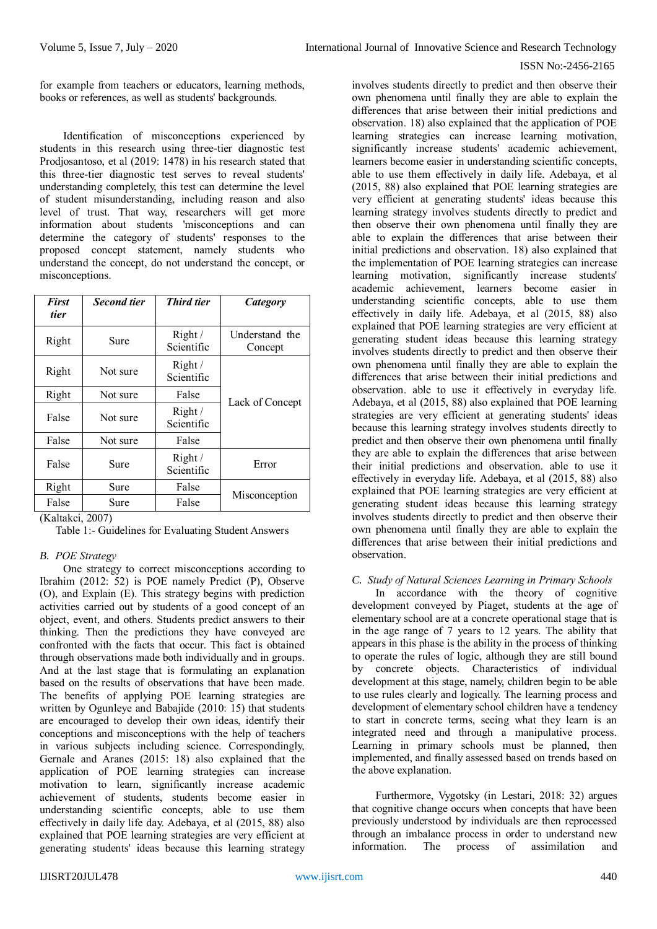for example from teachers or educators, learning methods, books or references, as well as students' backgrounds.

Identification of misconceptions experienced by students in this research using three-tier diagnostic test Prodjosantoso, et al (2019: 1478) in his research stated that this three-tier diagnostic test serves to reveal students' understanding completely, this test can determine the level of student misunderstanding, including reason and also level of trust. That way, researchers will get more information about students 'misconceptions and can determine the category of students' responses to the proposed concept statement, namely students who understand the concept, do not understand the concept, or misconceptions.

| <b>First</b><br>tier   | <b>Second tier</b>                       | <b>Third tier</b>    | Category                  |
|------------------------|------------------------------------------|----------------------|---------------------------|
| Right                  | Sure                                     | Right/<br>Scientific | Understand the<br>Concept |
| Right                  | Not sure                                 | Right/<br>Scientific |                           |
| Right                  | Not sure                                 | False                | Lack of Concept           |
| False                  | Not sure                                 | Right/<br>Scientific |                           |
| False                  | Not sure                                 | False                |                           |
| False                  | Sure                                     | Right/<br>Scientific | Error                     |
| Right                  | Sure                                     | False                |                           |
| False<br>$(TZ - 1, 1)$ | Sure<br>$\mathbf{a}\mathbf{a}\mathbf{a}$ | False                | Misconception             |

(Kaltakci, 2007)

Table 1:- Guidelines for Evaluating Student Answers

# *B. POE Strategy*

One strategy to correct misconceptions according to Ibrahim (2012: 52) is POE namely Predict (P), Observe (O), and Explain (E). This strategy begins with prediction activities carried out by students of a good concept of an object, event, and others. Students predict answers to their thinking. Then the predictions they have conveyed are confronted with the facts that occur. This fact is obtained through observations made both individually and in groups. And at the last stage that is formulating an explanation based on the results of observations that have been made. The benefits of applying POE learning strategies are written by Ogunleye and Babajide (2010: 15) that students are encouraged to develop their own ideas, identify their conceptions and misconceptions with the help of teachers in various subjects including science. Correspondingly, Gernale and Aranes (2015: 18) also explained that the application of POE learning strategies can increase motivation to learn, significantly increase academic achievement of students, students become easier in understanding scientific concepts, able to use them effectively in daily life day. Adebaya, et al (2015, 88) also explained that POE learning strategies are very efficient at generating students' ideas because this learning strategy

involves students directly to predict and then observe their own phenomena until finally they are able to explain the differences that arise between their initial predictions and observation. 18) also explained that the application of POE learning strategies can increase learning motivation, significantly increase students' academic achievement, learners become easier in understanding scientific concepts, able to use them effectively in daily life. Adebaya, et al (2015, 88) also explained that POE learning strategies are very efficient at generating students' ideas because this learning strategy involves students directly to predict and then observe their own phenomena until finally they are able to explain the differences that arise between their initial predictions and observation. 18) also explained that the implementation of POE learning strategies can increase learning motivation, significantly increase students' academic achievement, learners become easier in understanding scientific concepts, able to use them effectively in daily life. Adebaya, et al (2015, 88) also explained that POE learning strategies are very efficient at generating student ideas because this learning strategy involves students directly to predict and then observe their own phenomena until finally they are able to explain the differences that arise between their initial predictions and observation. able to use it effectively in everyday life. Adebaya, et al (2015, 88) also explained that POE learning strategies are very efficient at generating students' ideas because this learning strategy involves students directly to predict and then observe their own phenomena until finally they are able to explain the differences that arise between their initial predictions and observation. able to use it effectively in everyday life. Adebaya, et al (2015, 88) also explained that POE learning strategies are very efficient at generating student ideas because this learning strategy involves students directly to predict and then observe their own phenomena until finally they are able to explain the differences that arise between their initial predictions and observation.

# *C. Study of Natural Sciences Learning in Primary Schools*

In accordance with the theory of cognitive development conveyed by Piaget, students at the age of elementary school are at a concrete operational stage that is in the age range of 7 years to 12 years. The ability that appears in this phase is the ability in the process of thinking to operate the rules of logic, although they are still bound by concrete objects. Characteristics of individual development at this stage, namely, children begin to be able to use rules clearly and logically. The learning process and development of elementary school children have a tendency to start in concrete terms, seeing what they learn is an integrated need and through a manipulative process. Learning in primary schools must be planned, then implemented, and finally assessed based on trends based on the above explanation.

Furthermore, Vygotsky (in Lestari, 2018: 32) argues that cognitive change occurs when concepts that have been previously understood by individuals are then reprocessed through an imbalance process in order to understand new information. The process of assimilation and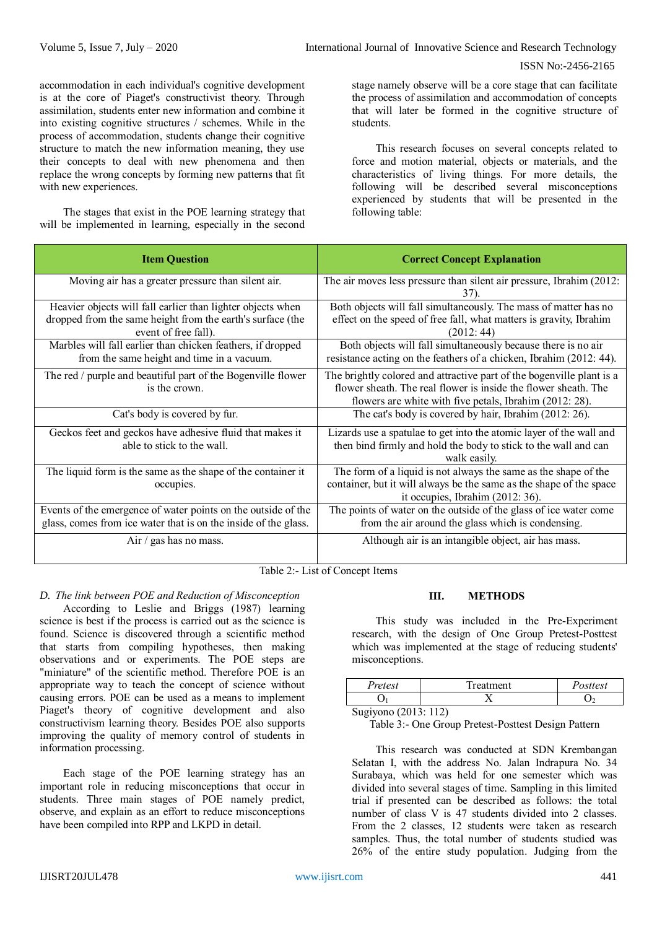accommodation in each individual's cognitive development is at the core of Piaget's constructivist theory. Through assimilation, students enter new information and combine it into existing cognitive structures / schemes. While in the process of accommodation, students change their cognitive structure to match the new information meaning, they use their concepts to deal with new phenomena and then replace the wrong concepts by forming new patterns that fit with new experiences.

The stages that exist in the POE learning strategy that will be implemented in learning, especially in the second

stage namely observe will be a core stage that can facilitate the process of assimilation and accommodation of concepts that will later be formed in the cognitive structure of students.

This research focuses on several concepts related to force and motion material, objects or materials, and the characteristics of living things. For more details, the following will be described several misconceptions experienced by students that will be presented in the following table:

| <b>Item Question</b>                                                                                                                              | <b>Correct Concept Explanation</b>                                                                                                                                                                  |
|---------------------------------------------------------------------------------------------------------------------------------------------------|-----------------------------------------------------------------------------------------------------------------------------------------------------------------------------------------------------|
| Moving air has a greater pressure than silent air.                                                                                                | The air moves less pressure than silent air pressure, Ibrahim (2012:<br>37).                                                                                                                        |
| Heavier objects will fall earlier than lighter objects when<br>dropped from the same height from the earth's surface (the<br>event of free fall). | Both objects will fall simultaneously. The mass of matter has no<br>effect on the speed of free fall, what matters is gravity, Ibrahim<br>(2012:44)                                                 |
| Marbles will fall earlier than chicken feathers, if dropped<br>from the same height and time in a vacuum.                                         | Both objects will fall simultaneously because there is no air<br>resistance acting on the feathers of a chicken, Ibrahim (2012: 44).                                                                |
| The red / purple and beautiful part of the Bogenville flower<br>is the crown.                                                                     | The brightly colored and attractive part of the bogenville plant is a<br>flower sheath. The real flower is inside the flower sheath. The<br>flowers are white with five petals, Ibrahim (2012: 28). |
| Cat's body is covered by fur.                                                                                                                     | The cat's body is covered by hair, Ibrahim (2012: 26).                                                                                                                                              |
| Geckos feet and geckos have adhesive fluid that makes it<br>able to stick to the wall.                                                            | Lizards use a spatulae to get into the atomic layer of the wall and<br>then bind firmly and hold the body to stick to the wall and can<br>walk easily.                                              |
| The liquid form is the same as the shape of the container it<br>occupies.                                                                         | The form of a liquid is not always the same as the shape of the<br>container, but it will always be the same as the shape of the space<br>it occupies, Ibrahim (2012: 36).                          |
| Events of the emergence of water points on the outside of the<br>glass, comes from ice water that is on the inside of the glass.                  | The points of water on the outside of the glass of ice water come<br>from the air around the glass which is condensing.                                                                             |
| $Air / gas$ has no mass.                                                                                                                          | Although air is an intangible object, air has mass.                                                                                                                                                 |

Table 2:- List of Concept Items

# *D. The link between POE and Reduction of Misconception*

According to Leslie and Briggs (1987) learning science is best if the process is carried out as the science is found. Science is discovered through a scientific method that starts from compiling hypotheses, then making observations and or experiments. The POE steps are "miniature" of the scientific method. Therefore POE is an appropriate way to teach the concept of science without causing errors. POE can be used as a means to implement Piaget's theory of cognitive development and also constructivism learning theory. Besides POE also supports improving the quality of memory control of students in information processing.

Each stage of the POE learning strategy has an important role in reducing misconceptions that occur in students. Three main stages of POE namely predict, observe, and explain as an effort to reduce misconceptions have been compiled into RPP and LKPD in detail.

# **III. METHODS**

This study was included in the Pre-Experiment research, with the design of One Group Pretest-Posttest which was implemented at the stage of reducing students' misconceptions.

| Pretest              | Treatment | Posttest |  |  |  |  |
|----------------------|-----------|----------|--|--|--|--|
|                      |           |          |  |  |  |  |
| Sugiyono (2013: 112) |           |          |  |  |  |  |

Table 3:- One Group Pretest-Posttest Design Pattern

This research was conducted at SDN Krembangan Selatan I, with the address No. Jalan Indrapura No. 34 Surabaya, which was held for one semester which was divided into several stages of time. Sampling in this limited trial if presented can be described as follows: the total number of class V is 47 students divided into 2 classes. From the 2 classes, 12 students were taken as research samples. Thus, the total number of students studied was 26% of the entire study population. Judging from the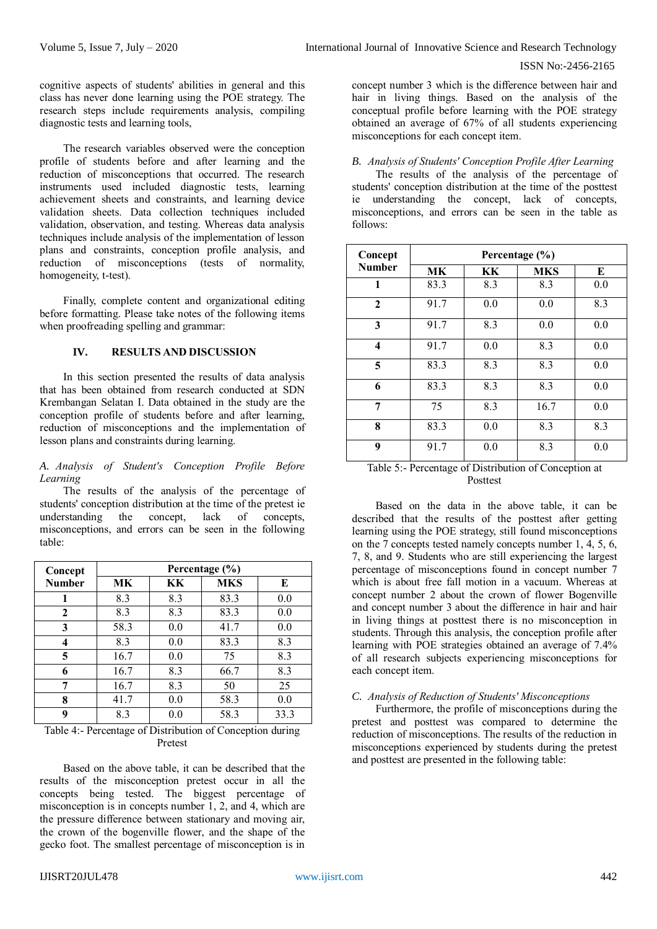cognitive aspects of students' abilities in general and this class has never done learning using the POE strategy. The research steps include requirements analysis, compiling diagnostic tests and learning tools,

The research variables observed were the conception profile of students before and after learning and the reduction of misconceptions that occurred. The research instruments used included diagnostic tests, learning achievement sheets and constraints, and learning device validation sheets. Data collection techniques included validation, observation, and testing. Whereas data analysis techniques include analysis of the implementation of lesson plans and constraints, conception profile analysis, and reduction of misconceptions (tests of normality, homogeneity, t-test).

Finally, complete content and organizational editing before formatting. Please take notes of the following items when proofreading spelling and grammar:

# **IV. RESULTS AND DISCUSSION**

In this section presented the results of data analysis that has been obtained from research conducted at SDN Krembangan Selatan I. Data obtained in the study are the conception profile of students before and after learning, reduction of misconceptions and the implementation of lesson plans and constraints during learning.

#### *A. Analysis of Student's Conception Profile Before Learning*

The results of the analysis of the percentage of students' conception distribution at the time of the pretest ie understanding the concept, lack of concepts, misconceptions, and errors can be seen in the following table:

| Concept       |      | Percentage (%) |            |      |  |  |  |
|---------------|------|----------------|------------|------|--|--|--|
| <b>Number</b> | МK   | KК             | <b>MKS</b> | E    |  |  |  |
|               | 8.3  | 8.3            | 83.3       | 0.0  |  |  |  |
| $\mathbf{2}$  | 8.3  | 8.3            | 83.3       | 0.0  |  |  |  |
| 3             | 58.3 | 0.0            | 41.7       | 0.0  |  |  |  |
| 4             | 8.3  | 0.0            | 83.3       | 8.3  |  |  |  |
| 5             | 16.7 | 0.0            | 75         | 8.3  |  |  |  |
| 6             | 16.7 | 8.3            | 66.7       | 8.3  |  |  |  |
| 7             | 16.7 | 8.3            | 50         | 25   |  |  |  |
| 8             | 41.7 | 0.0            | 58.3       | 0.0  |  |  |  |
| 9             | 8.3  | $0.0\,$        | 58.3       | 33.3 |  |  |  |

Table 4:- Percentage of Distribution of Conception during Pretest

Based on the above table, it can be described that the results of the misconception pretest occur in all the concepts being tested. The biggest percentage of misconception is in concepts number 1, 2, and 4, which are the pressure difference between stationary and moving air, the crown of the bogenville flower, and the shape of the gecko foot. The smallest percentage of misconception is in

concept number 3 which is the difference between hair and hair in living things. Based on the analysis of the conceptual profile before learning with the POE strategy obtained an average of 67% of all students experiencing misconceptions for each concept item.

# *B. Analysis of Students' Conception Profile After Learning*

The results of the analysis of the percentage of students' conception distribution at the time of the posttest ie understanding the concept, lack of concepts, misconceptions, and errors can be seen in the table as follows:

| Concept       |      |     | Percentage (%) |     |
|---------------|------|-----|----------------|-----|
| <b>Number</b> | МK   | KК  | <b>MKS</b>     | E   |
| 1             | 83.3 | 8.3 | 8.3            | 0.0 |
| $\mathbf{2}$  | 91.7 | 0.0 | 0.0            | 8.3 |
| 3             | 91.7 | 8.3 | 0.0            | 0.0 |
| 4             | 91.7 | 0.0 | 8.3            | 0.0 |
| 5             | 83.3 | 8.3 | 8.3            | 0.0 |
| 6             | 83.3 | 8.3 | 8.3            | 0.0 |
| 7             | 75   | 8.3 | 16.7           | 0.0 |
| 8             | 83.3 | 0.0 | 8.3            | 8.3 |
| 9             | 91.7 | 0.0 | 8.3            | 0.0 |

Table 5:- Percentage of Distribution of Conception at Posttest

Based on the data in the above table, it can be described that the results of the posttest after getting learning using the POE strategy, still found misconceptions on the 7 concepts tested namely concepts number 1, 4, 5, 6, 7, 8, and 9. Students who are still experiencing the largest percentage of misconceptions found in concept number 7 which is about free fall motion in a vacuum. Whereas at concept number 2 about the crown of flower Bogenville and concept number 3 about the difference in hair and hair in living things at posttest there is no misconception in students. Through this analysis, the conception profile after learning with POE strategies obtained an average of 7.4% of all research subjects experiencing misconceptions for each concept item.

#### *C. Analysis of Reduction of Students' Misconceptions*

Furthermore, the profile of misconceptions during the pretest and posttest was compared to determine the reduction of misconceptions. The results of the reduction in misconceptions experienced by students during the pretest and posttest are presented in the following table: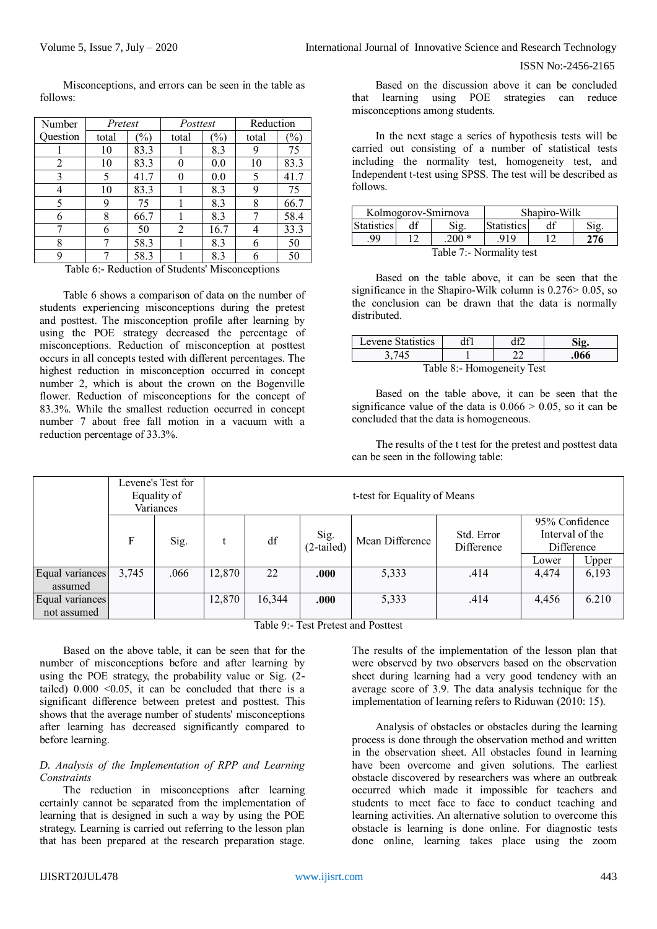Misconceptions, and errors can be seen in the table as follows:

| Number   | Pretest |      | Posttest |      | Reduction |      |  |
|----------|---------|------|----------|------|-----------|------|--|
| Question | total   | $\%$ | total    | $\%$ | total     | $\%$ |  |
|          | 10      | 83.3 |          | 8.3  | 9         | 75   |  |
| 2        | 10      | 83.3 |          | 0.0  | 10        | 83.3 |  |
|          | 5       | 41.7 |          | 0.0  | 5         | 41.7 |  |
|          | 10      | 83.3 |          | 8.3  | 9         | 75   |  |
|          | 9       | 75   |          | 8.3  | 8         | 66.7 |  |
| 6        | 8       | 66.7 |          | 8.3  |           | 58.4 |  |
|          | 6       | 50   | 2        | 16.7 |           | 33.3 |  |
| 8        |         | 58.3 |          | 8.3  | 6         | 50   |  |
| Q        |         | 58.3 |          | 8.3  |           | 50   |  |

Table 6:- Reduction of Students' Misconceptions

Table 6 shows a comparison of data on the number of students experiencing misconceptions during the pretest and posttest. The misconception profile after learning by using the POE strategy decreased the percentage of misconceptions. Reduction of misconception at posttest occurs in all concepts tested with different percentages. The highest reduction in misconception occurred in concept number 2, which is about the crown on the Bogenville flower. Reduction of misconceptions for the concept of 83.3%. While the smallest reduction occurred in concept number 7 about free fall motion in a vacuum with a reduction percentage of 33.3%.

Based on the discussion above it can be concluded that learning using POE strategies can reduce misconceptions among students.

In the next stage a series of hypothesis tests will be carried out consisting of a number of statistical tests including the normality test, homogeneity test, and Independent t-test using SPSS. The test will be described as follows.

| Kolmogorov-Smirnova      |                           |         |      | Shapiro-Wilk |                    |  |  |
|--------------------------|---------------------------|---------|------|--------------|--------------------|--|--|
| <b>Statistics</b>        | <b>Statistics</b><br>Sig. |         |      |              | $\gamma_{i\sigma}$ |  |  |
| 99                       |                           | $.200*$ | .919 | '76          |                    |  |  |
| Table 7:- Normality test |                           |         |      |              |                    |  |  |

Based on the table above, it can be seen that the significance in the Shapiro-Wilk column is  $0.276 > 0.05$ , so the conclusion can be drawn that the data is normally distributed.

| Levene Statistics          |  |  |      |  |  |  |  |
|----------------------------|--|--|------|--|--|--|--|
| 3 745                      |  |  | .066 |  |  |  |  |
| Table 8:- Homogeneity Test |  |  |      |  |  |  |  |

Based on the table above, it can be seen that the significance value of the data is  $0.066 \ge 0.05$ , so it can be concluded that the data is homogeneous.

The results of the t test for the pretest and posttest data can be seen in the following table:

|                 |       | Levene's Test for<br>Equality of<br>Variances | t-test for Equality of Means |        |                      |                 |                          |                                                 |       |
|-----------------|-------|-----------------------------------------------|------------------------------|--------|----------------------|-----------------|--------------------------|-------------------------------------------------|-------|
|                 | F     | Sig.                                          |                              | df     | $Sig.$<br>(2-tailed) | Mean Difference | Std. Error<br>Difference | 95% Confidence<br>Interval of the<br>Difference |       |
|                 |       |                                               |                              |        |                      |                 |                          | Lower                                           | Upper |
| Equal variances | 3,745 | .066                                          | 12,870                       | 22     | .000                 | 5,333           | .414                     | 4,474                                           | 6,193 |
| assumed         |       |                                               |                              |        |                      |                 |                          |                                                 |       |
| Equal variances |       |                                               | 12,870                       | 16,344 | .000                 | 5,333           | .414                     | 4,456                                           | 6.210 |
| not assumed     |       |                                               |                              |        |                      |                 |                          |                                                 |       |

Table 9:- Test Pretest and Posttest

Based on the above table, it can be seen that for the number of misconceptions before and after learning by using the POE strategy, the probability value or Sig. (2 tailed)  $0.000 < 0.05$ , it can be concluded that there is a significant difference between pretest and posttest. This shows that the average number of students' misconceptions after learning has decreased significantly compared to before learning.

# *D. Analysis of the Implementation of RPP and Learning Constraints*

The reduction in misconceptions after learning certainly cannot be separated from the implementation of learning that is designed in such a way by using the POE strategy. Learning is carried out referring to the lesson plan that has been prepared at the research preparation stage. The results of the implementation of the lesson plan that were observed by two observers based on the observation sheet during learning had a very good tendency with an average score of 3.9. The data analysis technique for the implementation of learning refers to Riduwan (2010: 15).

Analysis of obstacles or obstacles during the learning process is done through the observation method and written in the observation sheet. All obstacles found in learning have been overcome and given solutions. The earliest obstacle discovered by researchers was where an outbreak occurred which made it impossible for teachers and students to meet face to face to conduct teaching and learning activities. An alternative solution to overcome this obstacle is learning is done online. For diagnostic tests done online, learning takes place using the zoom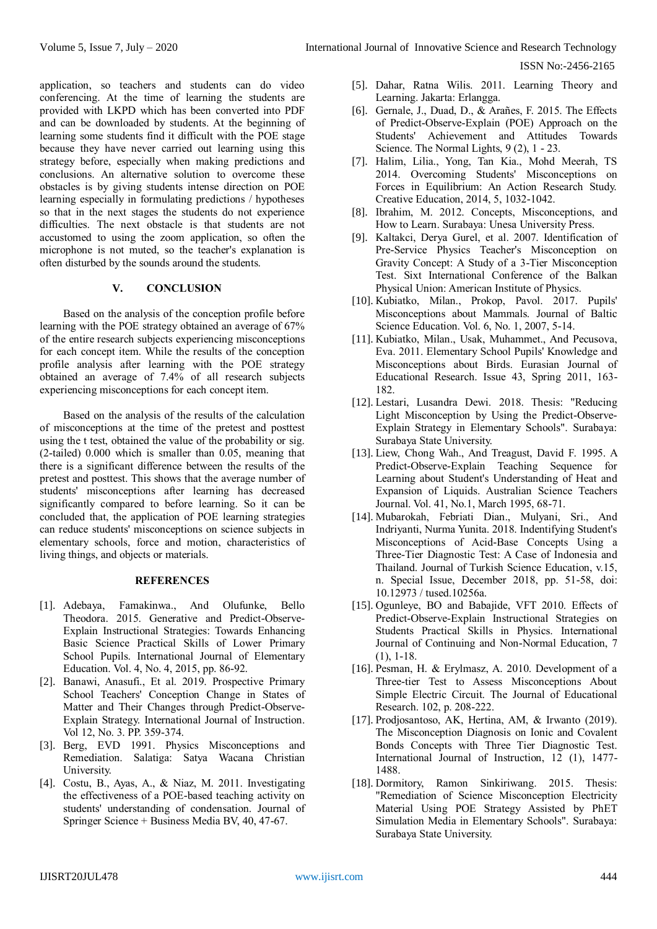application, so teachers and students can do video conferencing. At the time of learning the students are provided with LKPD which has been converted into PDF and can be downloaded by students. At the beginning of learning some students find it difficult with the POE stage because they have never carried out learning using this strategy before, especially when making predictions and conclusions. An alternative solution to overcome these obstacles is by giving students intense direction on POE learning especially in formulating predictions / hypotheses so that in the next stages the students do not experience difficulties. The next obstacle is that students are not accustomed to using the zoom application, so often the microphone is not muted, so the teacher's explanation is often disturbed by the sounds around the students.

# **V. CONCLUSION**

Based on the analysis of the conception profile before learning with the POE strategy obtained an average of 67% of the entire research subjects experiencing misconceptions for each concept item. While the results of the conception profile analysis after learning with the POE strategy obtained an average of 7.4% of all research subjects experiencing misconceptions for each concept item.

Based on the analysis of the results of the calculation of misconceptions at the time of the pretest and posttest using the t test, obtained the value of the probability or sig. (2-tailed) 0.000 which is smaller than 0.05, meaning that there is a significant difference between the results of the pretest and posttest. This shows that the average number of students' misconceptions after learning has decreased significantly compared to before learning. So it can be concluded that, the application of POE learning strategies can reduce students' misconceptions on science subjects in elementary schools, force and motion, characteristics of living things, and objects or materials.

# **REFERENCES**

- [1]. Adebaya, Famakinwa., And Olufunke, Bello Theodora. 2015. Generative and Predict-Observe-Explain Instructional Strategies: Towards Enhancing Basic Science Practical Skills of Lower Primary School Pupils. International Journal of Elementary Education. Vol. 4, No. 4, 2015, pp. 86-92.
- [2]. Banawi, Anasufi., Et al. 2019. Prospective Primary School Teachers' Conception Change in States of Matter and Their Changes through Predict-Observe-Explain Strategy. International Journal of Instruction. Vol 12, No. 3. PP. 359-374.
- [3]. Berg, EVD 1991. Physics Misconceptions and Remediation. Salatiga: Satya Wacana Christian University.
- [4]. Costu, B., Ayas, A., & Niaz, M. 2011. Investigating the effectiveness of a POE-based teaching activity on students' understanding of condensation. Journal of Springer Science + Business Media BV, 40, 47-67.
- [5]. Dahar, Ratna Wilis. 2011. Learning Theory and Learning. Jakarta: Erlangga.
- [6]. Gernale, J., Duad, D., & Arañes, F. 2015. The Effects of Predict-Observe-Explain (POE) Approach on the Students' Achievement and Attitudes Towards Science. The Normal Lights,  $9(2)$ , 1 - 23.
- [7]. Halim, Lilia., Yong, Tan Kia., Mohd Meerah, TS 2014. Overcoming Students' Misconceptions on Forces in Equilibrium: An Action Research Study. Creative Education, 2014, 5, 1032-1042.
- [8]. Ibrahim, M. 2012. Concepts, Misconceptions, and How to Learn. Surabaya: Unesa University Press.
- [9]. Kaltakci, Derya Gurel, et al. 2007. Identification of Pre-Service Physics Teacher's Misconception on Gravity Concept: A Study of a 3-Tier Misconception Test. Sixt International Conference of the Balkan Physical Union: American Institute of Physics.
- [10]. Kubiatko, Milan., Prokop, Pavol. 2017. Pupils' Misconceptions about Mammals. Journal of Baltic Science Education. Vol. 6, No. 1, 2007, 5-14.
- [11]. Kubiatko, Milan., Usak, Muhammet., And Pecusova, Eva. 2011. Elementary School Pupils' Knowledge and Misconceptions about Birds. Eurasian Journal of Educational Research. Issue 43, Spring 2011, 163- 182.
- [12]. Lestari, Lusandra Dewi. 2018. Thesis: "Reducing Light Misconception by Using the Predict-Observe-Explain Strategy in Elementary Schools". Surabaya: Surabaya State University.
- [13]. Liew, Chong Wah., And Treagust, David F. 1995. A Predict-Observe-Explain Teaching Sequence for Learning about Student's Understanding of Heat and Expansion of Liquids. Australian Science Teachers Journal. Vol. 41, No.1, March 1995, 68-71.
- [14]. Mubarokah, Febriati Dian., Mulyani, Sri., And Indriyanti, Nurma Yunita. 2018. Indentifying Student's Misconceptions of Acid-Base Concepts Using a Three-Tier Diagnostic Test: A Case of Indonesia and Thailand. Journal of Turkish Science Education, v.15, n. Special Issue, December 2018, pp. 51-58, doi: 10.12973 / tused.10256a.
- [15]. Ogunleye, BO and Babajide, VFT 2010. Effects of Predict-Observe-Explain Instructional Strategies on Students Practical Skills in Physics. International Journal of Continuing and Non-Normal Education, 7 (1), 1-18.
- [16]. Pesman, H. & Erylmasz, A. 2010. Development of a Three-tier Test to Assess Misconceptions About Simple Electric Circuit. The Journal of Educational Research. 102, p. 208-222.
- [17]. Prodjosantoso, AK, Hertina, AM, & Irwanto (2019). The Misconception Diagnosis on Ionic and Covalent Bonds Concepts with Three Tier Diagnostic Test. International Journal of Instruction, 12 (1), 1477- 1488.
- [18]. Dormitory, Ramon Sinkiriwang. 2015. Thesis: "Remediation of Science Misconception Electricity Material Using POE Strategy Assisted by PhET Simulation Media in Elementary Schools". Surabaya: Surabaya State University.